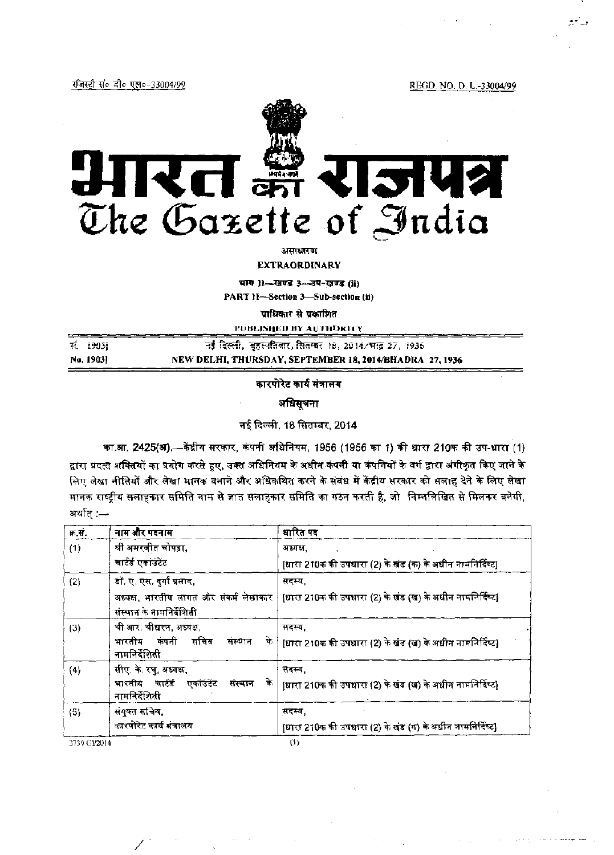रजिस्ट्री सं० डी० एल०-33004/99

REGD. NO. D. L.-33004/99



**EXTRAORDINARY** 

भाग 11-खण्ड 3-उप-खण्ड (ii)

PART 11-Section 3-Sub-section (ii)

प्राधिकार से प्रकाशित

PUBLISHED BY AUTHORITY स. 1903] नई दिल्ली, बुहस्पतिवार, सितम्बर 18, 2014/भाद्र 27, 1936 No. 19031

NEW DELHI, THURSDAY, SEPTEMBER 18, 2014/BHADRA 27, 1936

कारपोरेट कार्य मंत्रालय

अधिसूचना

नई दिल्ली, 18 सितम्बर, 2014

का.आ. 2425(अ).- केंद्रीय सरकार, कंपनी अधिनियम, 1956 (1956 का 1) की धारा 210क की उप-धारा (1) द्वारा प्रदत्त शक्तियों का प्रयोग करते हुए, उक्त अधिनियम के अधीन कंपनी या कंपनियों के वर्ग द्वारा अंगीकृत किए जाने के लिए लेखा नीतियों और लेखा मानक बनाने और अधिकथित करने के संबंध में केंद्रीय सरकार को सलाह देने के लिए लेखा मानक राष्ट्रीय सलाहकार समिति नाम से ज्ञात सलाहकार समिति का गठन करती है, जो निम्नलिखित से मिलकर बनेगी, अर्थात् :—

| क.स.         | नाम और पदनाम                                                                    | धारित पद                                                  |
|--------------|---------------------------------------------------------------------------------|-----------------------------------------------------------|
| (1)          | श्री अमरजीत चोपड़ा,                                                             | अध्यक्ष.                                                  |
|              | चार्टई एकाउंटेंट                                                                | [धारा 210क की उपधारा (2) के खंड (क) के अधीन नामनिर्दिष्ट] |
| (2)          | डॉ. ए. एस. दुर्गा प्रसाद,                                                       | सदस्य,                                                    |
|              | अध्यक्ष, भारतीय लागत और संकर्म लेखाकार $\, \mid \,$<br>संस्थान के नामनिर्देशिती | [धारा 210क की उपधारा (2) के खंड (ख) के अधीन नामनिर्दिष्ट] |
| $(3)$        | श्री आर. श्रीधरन, अध्यक्ष,                                                      | सदस्य,                                                    |
|              | कंपनी सचिव<br>भारतीय<br>के<br>संस्थान<br>नामनिर्देशिती                          | [धारा 210क की उपधारा (2) के खंड (ख) के अधीन नामनिर्दिष्ट] |
| (4)          | सीए. के. रघु, अध्यक्ष,                                                          | सदस्य,                                                    |
|              | भारतीय चार्टई<br>एकाउंटेंट<br>के<br>संस्थान<br>नामनिर्देशिती                    | [धारा 210क की उपधारा (2) के खंड (ख) के अधीन नामनिर्दिष्ट] |
| (5)          | संयुक्त सचिव,                                                                   | सदस्य,                                                    |
|              | कारपोरेट कार्य मंत्रालय                                                         | [धारा 210क की उपधारा (2) के खंड (ग) के अधीन नामनिर्दिष्ट] |
| 3739 G1/2014 |                                                                                 | $\{1\}$                                                   |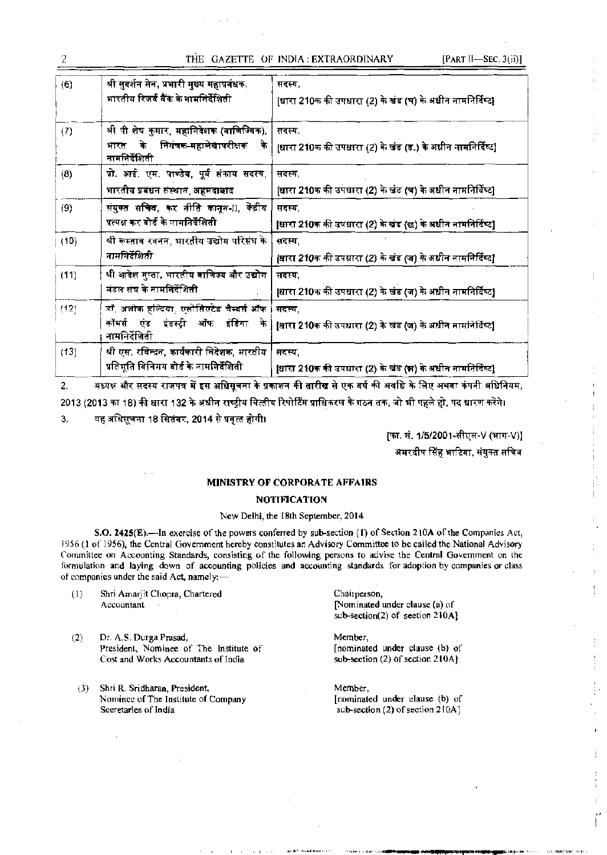# THE GAZETTE OF INDIA: EXTRAORDINARY

| (6)  | श्री सुदर्शन सेन, प्रभारी मुख्य महाप्रबंधक,<br>भारतीय रिजर्द बैंक के नामनिर्देशिती                        | सदस्य,<br>[धारा 210क की उपधारा (2) के खंड (घ) के अधीन नामनिर्दिष्ट]  |  |
|------|-----------------------------------------------------------------------------------------------------------|----------------------------------------------------------------------|--|
| (7)  | श्री पी शेष कुमार, महानिदेशक (वाणिज्यिक),<br>नियंत्रक-महालेखापरीक्षक<br>भारत के<br>के<br>नामनिर्देशिती    | सदस्य.<br>[धारा 210क की उपधारा (2) के खंड (ड.) के अधीन नामनिर्दिष्ट] |  |
| (8)  | प्रो. आई. एम. पाण्डेय, पूर्व संकाय सदस्य,<br>भारतीय प्रबंधन संस्थान, अहमदाबाद                             | सदस्य.<br>[धारा 210क की उपधारा (2) के खंड (च) के अधीन नामनिर्दिष्ट]  |  |
| (9)  | संयुक्त सचिव, कर नीति कानून-ll, केंद्रीय<br>प्रत्यक्ष कर बोर्ड के नामनिर्देशिती                           | सदस्य,<br>[धारा 210क की उपधारा (2) के खंड (छ) के अधीन नामनिर्दिष्ट]  |  |
| (10) | श्री रूस्ताव रवनन, भारतीय उद्योग परिसंघ के<br>नामनिर्देशिती                                               | सदस्य,<br>[धारा 210क की उपधारा (2) के खंड (ज) के अधीन नामनिर्दिष्ट]  |  |
| (11) | श्री आदेश गुप्ता, भारतीय <mark>वाणिज्य और उद्योग</mark><br>मंडल संघ के नामनिर्देशिती                      | सदस्य.<br>[धारा 210क की उपधारा (2) के खंड (ज) के अधीन नामनिर्दिष्ट]  |  |
| (12) | डॉ, अशोक हल्दिया, एसोसिएटेड चैम्बर्स ऑफ<br>इंडस्ट्री ऑफ इंडिया<br>एंड<br>कॉमर्स<br>ों के<br>नामनिर्देशिती | सदस्य.<br>[धारा 210क की उपधारा (2) के खंड (ज) के अधीन नामनिर्दिष्ट]  |  |
| (13) | श्री एस. रविन्द्रन, कार्यकारी निदेशक, भारतीय<br>प्रतिभूति विनिमय बोर्ड के नामनिर्देशिती                   | सदस्य,<br>[धारा 210क की उपधारा (2) के खंड (झ) के अधीन नामनिर्दिष्ट]  |  |

अध्यक्ष और सदस्य राजपत्र में इस अधिसूचना के प्रकाशन की तारीख से एक वर्ष की अवधि के लिए अथवा कंपनी अधिनियम,  $2.$ 2013 (2013 का 18) की धारा 132 के अधीन राष्ट्रीय वित्तीय रिपोर्टिंग प्राधिकरण के गठन तक, जो भी पहले हो, पद धारण करेंगे।

यह अधिसूचना 18 सितंबर, 2014 से प्रवृत्त होगी। 3.

> [फा. सं. 1/5/2001-सीएल-V (भाग-V)] अमरदीप सिंह भाटिया, संयुक्त सचिव

## MINISTRY OF CORPORATE AFFAIRS

## **NOTIFICATION**

## New Delhi, the 18th September, 2014

S.O. 2425(E).—In exercise of the powers conferred by sub-section (1) of Section 210A of the Companies Act, 1956 (1 of 1956), the Central Government hereby constitutes an Advisory Committee to be called the National Advisory Committee on Accounting Standards, consisting of the following persons to advise the Central Government on the formulation and laying down of accounting policies and accounting standards for adoption by companies or class of companies under the said Act, namely:-

- Shri Amarjit Chopra, Chartered  $(1)$ Accountant
- $(2)$ Dr. A.S. Durga Prasad, President, Nominee of The Institute of Cost and Works Accountants of India
- (3) Shri R. Sridharan, President, Nominee of The Institute of Company Secretaries of India

Chairperson, [Nominated under clause (a) of  $sub-section(2) of section 210A$ 

Member, [nominated under clause (b) of sub-section (2) of section 210A]

Member, [nominated under clause (b) of sub-section (2) of section 210A]

2